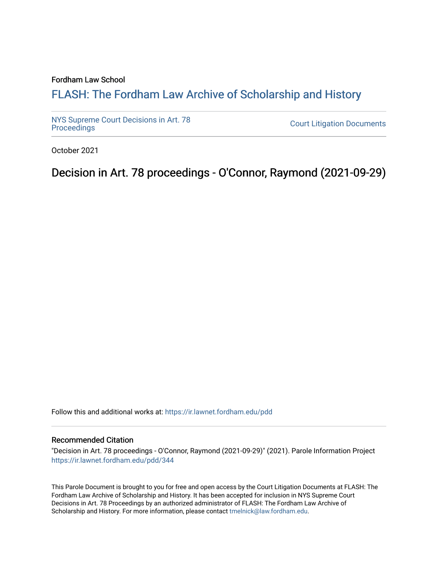## Fordham Law School

# FLASH: The For[dham Law Archive of Scholarship and Hist](https://ir.lawnet.fordham.edu/)ory

[NYS Supreme Court Decisions in Art. 78](https://ir.lawnet.fordham.edu/pdd)

**Court Litigation Documents** 

October 2021

Decision in Art. 78 proceedings - O'Connor, Raymond (2021-09-29)

Follow this and additional works at: [https://ir.lawnet.fordham.edu/pdd](https://ir.lawnet.fordham.edu/pdd?utm_source=ir.lawnet.fordham.edu%2Fpdd%2F344&utm_medium=PDF&utm_campaign=PDFCoverPages)

#### Recommended Citation

"Decision in Art. 78 proceedings - O'Connor, Raymond (2021-09-29)" (2021). Parole Information Project [https://ir.lawnet.fordham.edu/pdd/344](https://ir.lawnet.fordham.edu/pdd/344?utm_source=ir.lawnet.fordham.edu%2Fpdd%2F344&utm_medium=PDF&utm_campaign=PDFCoverPages)

This Parole Document is brought to you for free and open access by the Court Litigation Documents at FLASH: The Fordham Law Archive of Scholarship and History. It has been accepted for inclusion in NYS Supreme Court Decisions in Art. 78 Proceedings by an authorized administrator of FLASH: The Fordham Law Archive of Scholarship and History. For more information, please contact [tmelnick@law.fordham.edu](mailto:tmelnick@law.fordham.edu).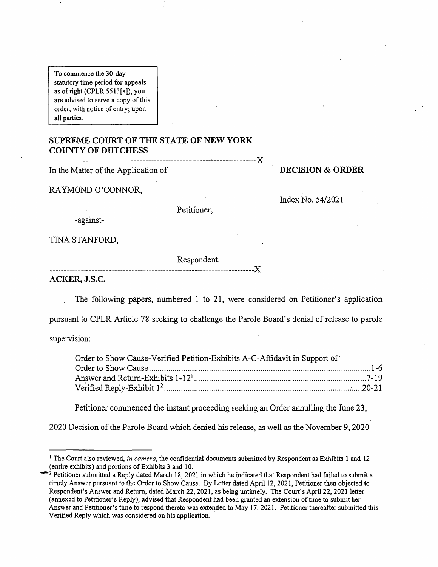To commence the 30-day statutory time period for appeals as ofright (CPLR 5513[a]), you are advised to serve a copy of this order, with notice of entry; upon all parties.

# **SUPREME COURT OF THE STATE OF NEW YORK COUNTY OF DUTCHESS**

| In the Matter of the Application of |
|-------------------------------------|

**DECISION** & **ORDER** 

RAYMOND O'CONNOR,

Index No. 54/2021

-against-

TINA STANFORD,

Respondent.

Petitioner,

.-----------------------------------------------------------------------){ **ACKER, J.S.C.** 

The following papers, numbered 1 to 21, were considered on Petitioner's application

pursuant to CPLR Article 78 seeking to challenge the Parole Board's denial of release to parole

supervision:

| Order to Show Cause-Verified Petition-Exhibits A-C-Affidavit in Support of |  |
|----------------------------------------------------------------------------|--|
|                                                                            |  |
|                                                                            |  |
|                                                                            |  |

Petitioner commenced the instant proceeding seeking an Order annulling the June 23,

2020 Decision of the Parole Board which denied his release, as well as the November 9, 2020

<sup>&</sup>lt;sup>1</sup> The Court also reviewed, *in camera*, the confidential documents submitted by Respondent as Exhibits 1 and 12 (entire exhibits) and portions of Exhibits 3 and 10.

 $\epsilon^2$  Petitioner submitted a Reply dated March 18, 2021 in which he indicated that Respondent had failed to submit a timely Answer pursuant to the Order to Show Cause. By Letter dated April 12, 2021, Petitioner then objected to - Respondent's Answer and Return, dated March 22, 2021, as being untimely. The Court's April 22, 2021 letter (annexed to Petitioner's Reply), advised that Respondent had been granted an extension of time to submit her Answer and Petitioner's time to respond thereto was extended to May 17, 2021. Petitioner thereafter submitted this Verified Reply which was considered on his application.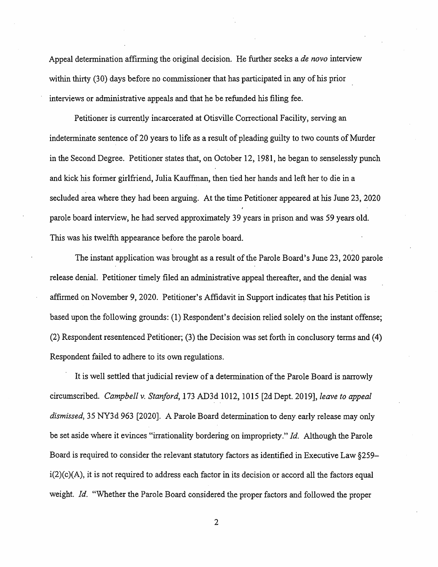Appeal determination affirming the original decision. He further seeks a *de novo* interview within thirty (30) days before no commissioner that has participated in any of his prior interviews or administrative appeals and that he be refunded his filing fee.

Petitioner is currently incarcerated at Otisville Correctional Facility, serving an indeterminate sentence of 20 years to life as a result of pleading guilty to two counts of Murder in the Second Degree. Petitioner states that, on October 12, 1981, he began to senselessly punch and kick his former girlfriend, Julia Kauffman, then tied her hands and left her to die in a secluded area where they had been arguing. At the time Petitioner appeared at his June 23, 2020 parole board interview, he had served approximately 39 years in prison and was 59 years old. This was his twelfth appearance before the parole board.

The instant application was brought as a result of the Parole Board's June 23, 2020 parole release denial. Petitioner timely filed an administrative appeal thereafter, and the denial was affirmed on November 9, 2020. Petitioner's Affidavit in Support indicates that his Petition is based upon the following grounds: (1) Respondent's decision relied solely on the instant offense; (2) Respondent resentenced Petitioner; (3) the Decision was set forth in conclusory terms and (4) Respondent failed to adhere to its own regulations.

It is well settled that judicial review of a determination of the Parole Board is narrowly circumscribed. *Campbell v. Stanford,* 173 AD3d 1012, 1015 [2d Dept. 2019], *leave to appeal dismissed,* 35 NY3d 963 [2020]. A Parole Board determination to deny early release may only be set aside where it evinces "irrationality bordering on impropriety." *Id.* Although the Parole Board is required to consider the relevant statutory factors as identified in Executive Law §259  $i(2)(c)(A)$ , it is not required to address each factor in its decision or accord all the factors equal weight. *Id.* "Whether the Parole Board considered the proper factors and followed the proper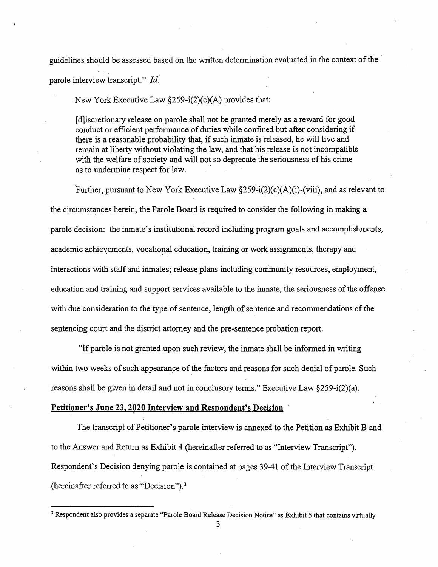guidelines should be assessed based on the written determination evaluated in the context of the

parole interview transcript." *Id.* 

New York Executive Law §259-i(2)(c)(A) provides that:

[ d]iscretionary release on parole shall not be granted merely as a reward for good conduct or efficient performance of duties while confined but after considering if there is a reasonable probability that, if such inmate is released, he will live and remain at liberty without violating the law, and that his release is not incompatible with the welfare of society and will not so deprecate the seriousness of his crime as to undermine respect for law.

Further, pursuant to New York Executive Law  $\S259-i(2)(c)(A)(i)$ -(viii), and as relevant to the circumstances herein, the Parole Board is required to consider the following in making a parole decision: the inmate's institutional record including program goals and accomplishments, academic achievements, vocational education, training or work assignments, therapy and interactions with staff and inmates; release plans including community resources, employment, · education and training and support services available to the inmate, the seriousness of the offense with due consideration to the type of sentence, length of sentence and recommendations of the sentencing court and the district attorney and the pre-sentence probation report.

"lf parole is not granted.upon such review, the inmate shall be informed in writing within two weeks of such appearance of the factors and reasons for such denial of parole. Such reasons shall be given in detail and not in conclusory terms." Executive Law §259-i(2)(a).

### **Petitioner's June 23, 2020 Interview and Respondent's Decision** ·

The transcript of Petitioner's parole interview is annexed to the Petition as Exhibit B and to the Answer and Return as Exhibit 4 (hereinafter referred to as "Interview Transcript"). Respondent's Decision denying parole is contained at pages 39-41 of the Interview Transcript (hereinafter referred to as "Decision"). <sup>3</sup>

<sup>&</sup>lt;sup>3</sup> Respondent also provides a separate "Parole Board Release Decision Notice" as Exhibit 5 that contains virtually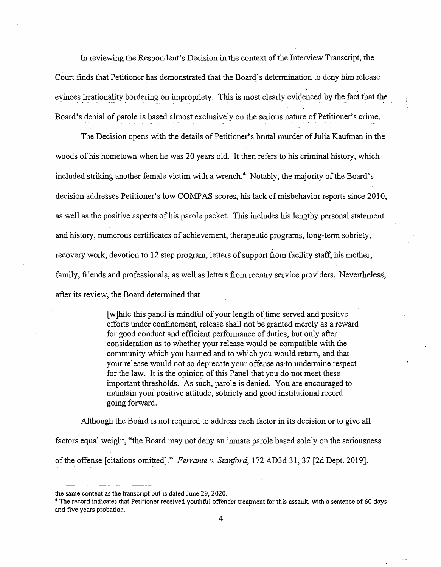In reviewing the Respondent's Decision in the context of the Interview Transcript, the Court finds that Petitioner has demonstrated that the Board's determination to deny him release evinces irrationality bordering on impropriety. This is most clearly evidenced by the fact that the Board's denial of parole is based almost exclusively on the serious nature of Petitioner's crime.

The Decision opens with the details of Petitioner's brutal murder of Julia Kaufman in the woods of his hometown when he was 20 years old. It then refers to his criminal history, which included striking another female victim with a wrench.<sup>4</sup> Notably, the majority of the Board's decision addresses Petitioner's low COMPAS scores, his lack of misbehavior reports since 2010, as well as the positive aspects of his parole packet. This includes his lengthy personal statement and history, numerous certificates of achievement, therapeutic programs, long-term sobriety, recovery work, devotion to 12 step program, letters of support from facility staff, his mother, family, friends and professionals, as well as letters from reentry service providers. Nevertheless, after its review, the Board determined that

> [w] hile this panel is mindful of your length of time served and positive efforts under confinement, release shall not be granted merely as a reward for good conduct and efficient performance of duties, but only after consideration as to whether your release would be compatible with the community which you harmed and to which you would return, and that your release would not so deprecate your offense as ·to undermine respect for the law. It is the opinion of this Panel that you do not meet these important thresholds. As such, parole is denied. You are encouraged to maintain your positive attitude, sobriety and good institutional record going forward.

Although the Board is not required to address each factor in its decision or to give all factors equal weight, "the Board may not deny an inmate parole based solely on the seriousness of the offense [citations omitted]." *Ferrante v. Stanford*, 172 AD3d 31, 37 [2d Dept. 2019].

the same content as the transcript but is dated June 29, 2020.<br><sup>4</sup> The record indicates that Petitioner received youthful offender treatment for this assault, with a sentence of 60 days and five years probation.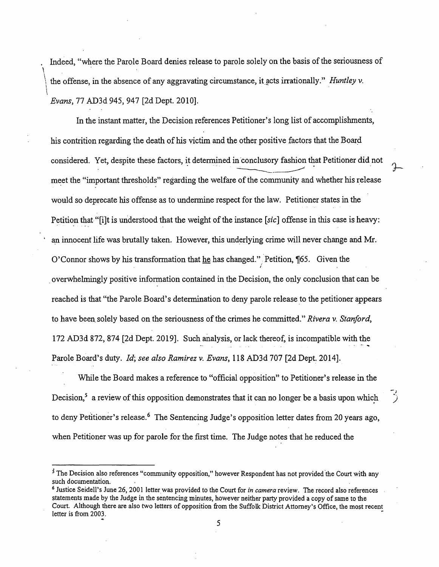. Indeed, "where the Parole Board denies release to parole solely on the basis of the seriousness of  $\mathcal{L}$ the offense, in the absence of any aggravating circumstance, it acts irrationally." *Huntley v.*  $\vert$ *Evans,* 77 AD3d 945, 947 [2d Dept. 2010].

In the instant matter, the Decision references Petitioner's long list of accomplishments, his contrition regarding the death of his victim and the other positive factors that the Board considered. Yet, despite these factors, it determined in conclusory fashion that Petitioner did not meet the "important thresholds" regarding the welfare of the community and whether his release would so deprecate his offense as to undermine respect for the law. Petitioner states in the Petition that "[i]t is understood that the weight of the instance *[sic]* offense in this case is heavy: an innocent life was brutally taken. However, this underlying crime will never change and Mr. O' Connor shows by his transformation that he has changed." Petition, 165. Given the *I*  . overwhelmingly positive information contained in the Decision, the only conclusion that can be reached is that "the Parole Board's determination to deny parole release to the petitioner appears to have been. solely based on the seriousness of the crimes he committed." *Rivera v. Stanford,*  172 AD3d 872, 874 [2d Dept. 2019]. Such analysis, or lack thereof, is incompatible with the Parole Board's duty. *Id; see also Ramirez v. Evans*, 118 AD3d 707 [2d Dept. 2014].

While the Board makes a reference to "official opposition" to Petitioner's release in the Decision,<sup>5</sup> a review of this opposition demonstrates that it can no longer be a basis upon which to deny Petitioner's release.<sup>6</sup> The Sentencing Judge's opposition letter dates from 20 years ago, when Petitioner was up for parole for the first time. The Judge notes that he reduced the

-; )

<sup>&</sup>lt;sup>5</sup> The Decision also references "community opposition," however Respondent has not provided the Court with any such documentation.

<sup>6</sup>Justice Seidell's June 26, 2001 letter was provided to the Court for *in camera* review. The record also references statements made by the Judge in the sentencing minutes, however neither party provided a copy of same to the Court. Although there are also two letters of opposition from the Suffolk District Attorney's Office, the most recent letter is from 2003.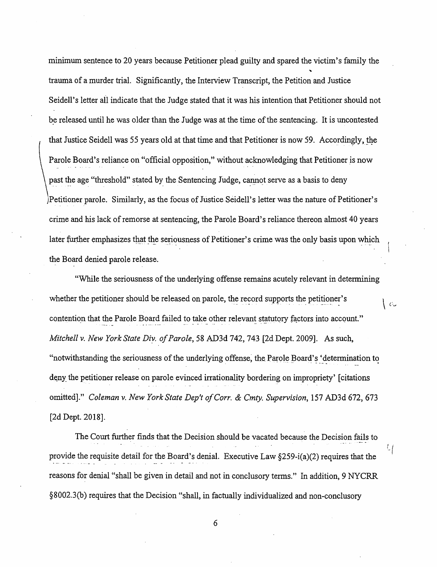minimum sentence to 20 years because Petitioner plead guilty and spared the victim's family the trauma of a murder trial. Significantly, the Interview Transcript, the Petition and Justice Seidell's letter all indicate that the Judge stated that it was his intention that Petitioner should not be released until he was older than the Judge was at the time of the sentencing. It is uncontested that Justice Seidell was 55 years old at that time and that Petitioner is now 59. Accordingly, the Parole Board's reliance on "official opposition," without acknowledging that Petitioner is now past the age "threshold" stated by the Sentencing Judge, cannot serve as a basis to deny )Petitioner parole. Similarly, as the focus of Justice Seidell's letter was the nature of Petitioner's crime and his lack of remorse at sentencing, the Parole Board's reliance thereon almost 40 years later further emphasizes that the seriousness of Petitioner's crime was the only basis upon which the Board denied parole release.

"While the seriousness of the underlying offense remains acutely relevant in determining whether the petitioner should be released on parole, the record supports the petitioner's  $\vert c \rangle$ contention that the Parole Board failed to take other relevant statutory factors into account." *Mitchell v. New York State Diy. of Parole,* 58 AD3d 742, 743 (2d Dept. 2009]. As such, "notwithstanding the seriousness of the underlying offense, the Parole Board's 'determination to deny the petitioner release on parole evinced irrationality bordering on impropriety' [citations] omitted]." *Coleman v. New York State Dep't of Corr. & Cmty. Supervision*, 157 AD3d 672, 673 [2d Dept. 2018].

The Court further finds that the Decision should be vacated because the Decision fails to provide the requisite detail for the Board's denial. Executive Law §259-i(a)(2) requires that the reasons for denial "shall be given in detail and not in conclusory terms." In addition, 9 NYCRR §8002.3(b) requires that the Decision "shall, in factually individualized and non-conclusory

 $\cup$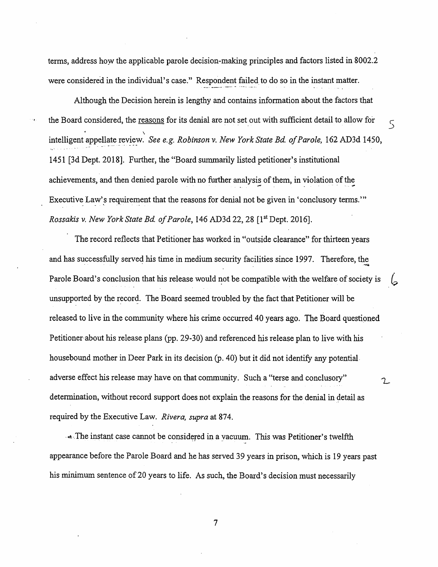terms, address how the applicable parole decision-making principles and factors listed in 8002.2 were considered in the individual's case." Respondent failed to do so in the instant matter.

Although the Decision herein is lengthy and contains information about the factors that the Board considered, the reasons for its denial are not set out with sufficient detail to allow for  $\sim$ intelligent appellate review. *See e.g. Robinson v. New York State Bd. of Parole*, 162 AD3d 1450, 1451 (3d Dept. 2018]. Further, the "Board summarily listed petitioner's institutional achievements, and then denied parole with no further analysis of them, in violation of the Executive Law's requirement that the reasons for denial not be given in 'conclusory terms."" *Rossakis v. New York State Bd. of Parole*, 146 AD3d 22, 28 [1<sup>st</sup> Dept. 2016].

The record reflects that Petitioner has worked in "outside clearance" for thirteen years and has successfully served his time in medium security facilities since 1997. Therefore, the Parole Board's conclusion that his release would not be compatible with the welfare of society is unsupported by the record. The Board seemed troubled by the fact that Petitioner will be released to live in the community where his crime occurred 40 years ago. The Board questioned Petitioner-about his release plans (pp. 29-30) and referenced his release plan to live with his housebound mother in Deer Park in its decision (p. 40) but it did not identify any potential. adverse effect his release may have on that community. Such a "terse and conclusory"  $\gamma$ determination, without record support does not explain the reasons for the denial in detail as required by the Executive Law. *Rivera, supra* at 874.

- The instant case cannot be considered in a vacuum. This was Petitioner's twelfth appearance before the Parole Board and he has served 39 years in prison, which is 19 years past his minimum sentence of 20 years to life. As such, the Board's decision must necessarily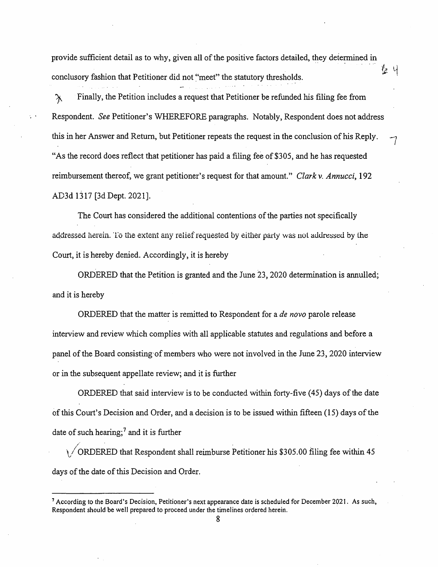provide sufficient detail as to why, given all of the positive factors detailed, they determined in conclusory fashion that Petitioner did not "meet" the statutory thresholds.

 $\lambda$  Finally, the Petition includes a request that Petitioner be refunded his filing fee from Respondent. *See* Petitioner's WHEREFORE paragraphs. Notably, Respondent does not address this in her Answer and Return, but Petitioner repeats the request in the conclusion of his Reply. *-* "As the record does reflect that petitioner has paid a filing fee of \$305, and he has requested reimbursement thereof, we grant petitioner's request for that amount." *Clark v. Annucci,* 192 AD3d 1317 [3d Dept. 2021].

1

The Court has considered the additional contentions of the parties not specifically addressed herein. To the extent any relief requested by either party was not addressed by the Court, it is hereby denied. Accordingly, it is hereby

ORDERED that the Petition is granted and the June 23, 2020 determination is annulled; and it is hereby

ORDERED {hat the matter is remitted to Respondent for a *de novo* parole release interview and review which complies with all applicable statutes and regulations and before a panel of the Board consisting·of members who were not involved in the June 23, 2020 interview or in the subsequent appellate review; and it is further

ORDERED that said interview is to be conducted within forty-five (45) days of the date of this Court's Decision and Order, and a decision is to be issued within fifteen (15) days of the date of such hearing;<sup>7</sup> and it is further

ORDERED that Respondent shall reimburse Petitioner his  $$305.00$  filing fee within 45 days of the date of this Decision and Order.

<sup>7</sup>According to the Board's Decision, Petitioner's next appearance date is scheduled for December 2021. As such, Respondent should be well prepared to proceed under the timelines ordered herein.